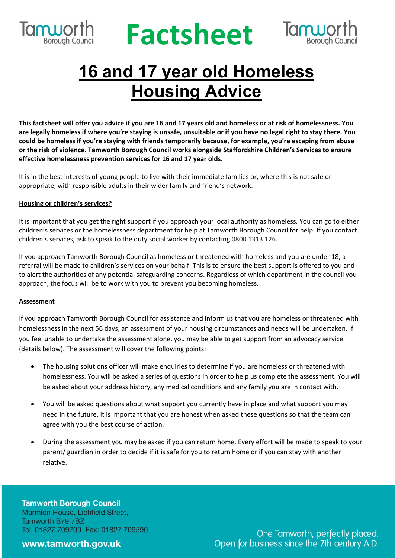

## **RUPOLING Factsheet**



### **16 and 17 year old Homeless Housing Advice**

This factsheet will offer you advice if you are 16 and 17 years old and homeless or at risk of homelessness. You are legally homeless if where you're staying is unsafe, unsuitable or if you have no legal right to stay there. You **could be homeless if you're staying with friends temporarily because, for example, you're escaping from abuse or the risk of violence. Tamworth Borough Council works alongside Staffordshire Children's Services to ensure effective homelessness prevention services for 16 and 17 year olds.**

It is in the best interests of young people to live with their immediate families or, where this is not safe or appropriate, with responsible adults in their wider family and friend's network.

#### **Housing or children's services?**

It is important that you get the right support if you approach your local authority as homeless. You can go to either children's services or the homelessness department for help at Tamworth Borough Council for help. If you contact children's services, ask to speak to the duty social worker by contacting 0800 1313 126.

If you approach Tamworth Borough Council as homeless or threatened with homeless and you are under 18, a referral will be made to children's services on your behalf. This is to ensure the best support is offered to you and to alert the authorities of any potential safeguarding concerns. Regardless of which department in the council you approach, the focus will be to work with you to prevent you becoming homeless.

#### **Assessment**

If you approach Tamworth Borough Council for assistance and inform us that you are homeless or threatened with homelessness in the next 56 days, an assessment of your housing circumstances and needs will be undertaken. If you feel unable to undertake the assessment alone, you may be able to get support from an advocacy service (details below). The assessment will cover the following points:

- The housing solutions officer will make enquiries to determine if you are homeless or threatened with homelessness. You will be asked a series of questions in order to help us complete the assessment. You will be asked about your address history, any medical conditions and any family you are in contact with.
- You will be asked questions about what support you currently have in place and what support you may need in the future. It is important that you are honest when asked these questions so that the team can agree with you the best course of action.
- During the assessment you may be asked if you can return home. Every effort will be made to speak to your parent/ guardian in order to decide if it is safe for you to return home or if you can stay with another relative.

**Tamworth Borough Council** Marmion House, Lichfield Street, Tamworth B79 7BZ Tel: 01827 709709 Fax: 01827 709590

#### www.tamworth.gov.uk

One Tamworth, perfectly placed. Open for business since the 7th century A.D.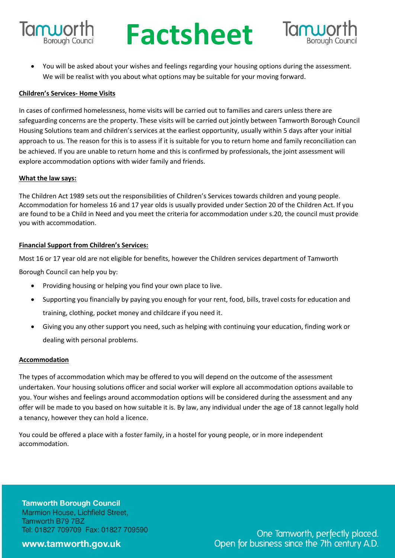

# **RUPOLING Factsheet**



• You will be asked about your wishes and feelings regarding your housing options during the assessment. We will be realist with you about what options may be suitable for your moving forward.

#### **Children's Services- Home Visits**

In cases of confirmed homelessness, home visits will be carried out to families and carers unless there are safeguarding concerns are the property. These visits will be carried out jointly between Tamworth Borough Council Housing Solutions team and children's services at the earliest opportunity, usually within 5 days after your initial approach to us. The reason for this is to assess if it is suitable for you to return home and family reconciliation can be achieved. If you are unable to return home and this is confirmed by professionals, the joint assessment will explore accommodation options with wider family and friends.

#### **What the law says:**

The Children Act 1989 sets out the responsibilities of Children's Services towards children and young people. Accommodation for homeless 16 and 17 year olds is usually provided under Section 20 of the Children Act. If you are found to be a Child in Need and you meet the criteria for accommodation under s.20, the council must provide you with accommodation.

#### **Financial Support from Children's Services:**

Most 16 or 17 year old are not eligible for benefits, however the Children services department of Tamworth

Borough Council can help you by:

- Providing housing or helping you find your own place to live.
- Supporting you financially by paying you enough for your rent, food, bills, travel costs for education and training, clothing, pocket money and childcare if you need it.
- Giving you any other support you need, such as helping with continuing your education, finding work or dealing with personal problems.

#### **Accommodation**

The types of accommodation which may be offered to you will depend on the outcome of the assessment undertaken. Your housing solutions officer and social worker will explore all accommodation options available to you. Your wishes and feelings around accommodation options will be considered during the assessment and any offer will be made to you based on how suitable it is. By law, any individual under the age of 18 cannot legally hold a tenancy, however they can hold a licence.

You could be offered a place with a foster family, in a hostel for young people, or in more independent accommodation.

**Tamworth Borough Council** Marmion House, Lichfield Street, Tamworth B79 7BZ Tel: 01827 709709 Fax: 01827 709590

#### www.tamworth.gov.uk

One Tamworth, perfectly placed. Open for business since the 7th century A.D.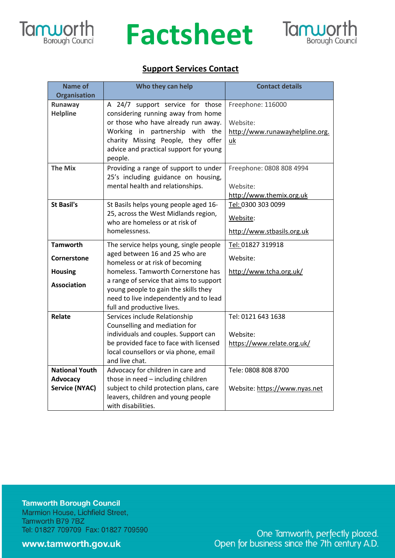

### **Factsheet**



### **Support Services Contact**

| <b>Name of</b><br><b>Organisation</b> | Who they can help                                                               | <b>Contact details</b>          |
|---------------------------------------|---------------------------------------------------------------------------------|---------------------------------|
| Runaway                               | A 24/7 support service for those                                                | Freephone: 116000               |
| <b>Helpline</b>                       | considering running away from home                                              |                                 |
|                                       | or those who have already run away.                                             | Website:                        |
|                                       | Working in partnership with<br>the                                              | http://www.runawayhelpline.org. |
|                                       | charity Missing People, they offer                                              | uk                              |
|                                       | advice and practical support for young                                          |                                 |
|                                       | people.                                                                         |                                 |
| <b>The Mix</b>                        | Providing a range of support to under<br>25's including guidance on housing,    | Freephone: 0808 808 4994        |
|                                       | mental health and relationships.                                                | Website:                        |
|                                       |                                                                                 | http://www.themix.org.uk        |
| <b>St Basil's</b>                     | St Basils helps young people aged 16-                                           | Tel: 0300 303 0099              |
|                                       | 25, across the West Midlands region,                                            |                                 |
|                                       | who are homeless or at risk of                                                  | Website:                        |
|                                       | homelessness.                                                                   | http://www.stbasils.org.uk      |
| <b>Tamworth</b>                       | The service helps young, single people                                          | Tel: 01827 319918               |
| Cornerstone                           | aged between 16 and 25 who are                                                  | Website:                        |
|                                       | homeless or at risk of becoming                                                 |                                 |
| <b>Housing</b>                        | homeless. Tamworth Cornerstone has                                              | http://www.tcha.org.uk/         |
| <b>Association</b>                    | a range of service that aims to support<br>young people to gain the skills they |                                 |
|                                       | need to live independently and to lead                                          |                                 |
|                                       | full and productive lives.                                                      |                                 |
| Relate                                | Services include Relationship                                                   | Tel: 0121 643 1638              |
|                                       | Counselling and mediation for                                                   |                                 |
|                                       | individuals and couples. Support can                                            | Website:                        |
|                                       | be provided face to face with licensed                                          | https://www.relate.org.uk/      |
|                                       | local counsellors or via phone, email                                           |                                 |
| <b>National Youth</b>                 | and live chat.<br>Advocacy for children in care and                             | Tele: 0808 808 8700             |
| <b>Advocacy</b>                       | those in need - including children                                              |                                 |
| <b>Service (NYAC)</b>                 | subject to child protection plans, care                                         | Website: https://www.nyas.net   |
|                                       | leavers, children and young people                                              |                                 |
|                                       | with disabilities.                                                              |                                 |

**Tamworth Borough Council** Marmion House, Lichfield Street, Tamworth B79 7BZ Tel: 01827 709709 Fax: 01827 709590

www.tamworth.gov.uk

One Tamworth, perfectly placed.<br>Open for business since the 7th century A.D.